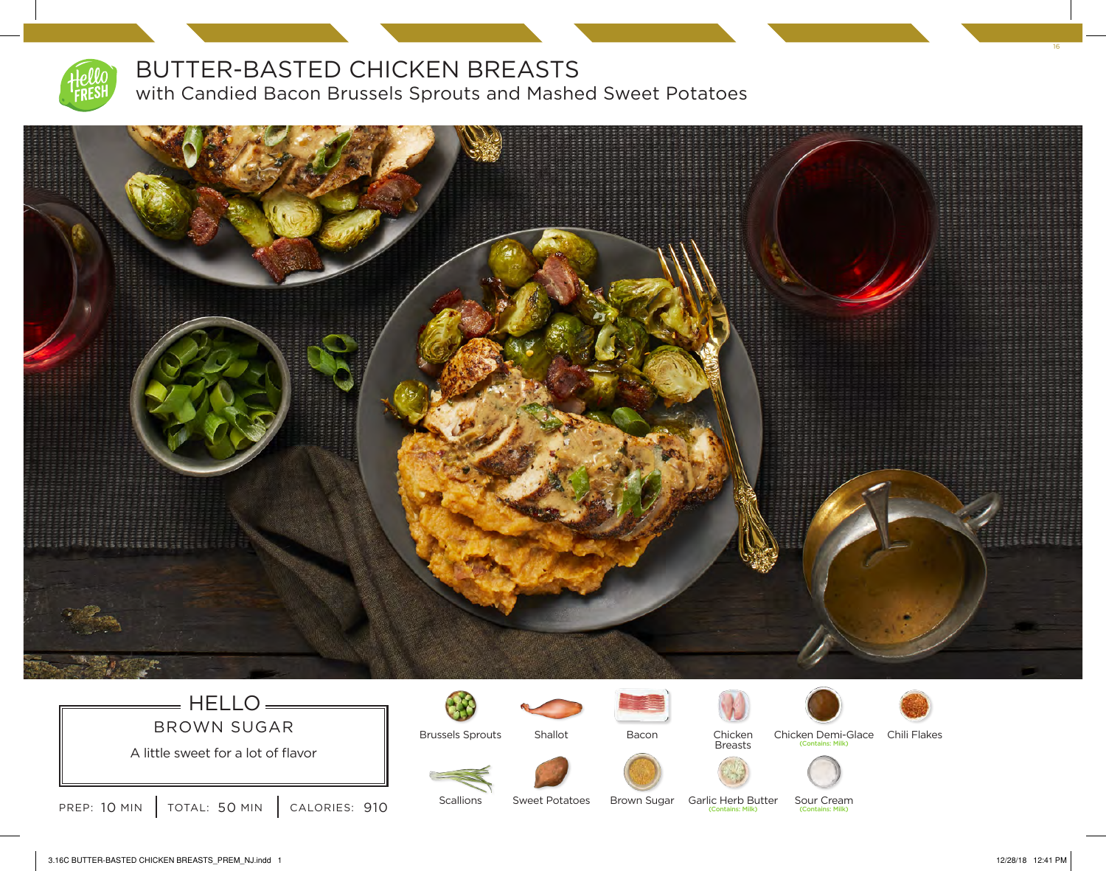

### BUTTER-BASTED CHICKEN BREASTS

with Candied Bacon Brussels Sprouts and Mashed Sweet Potatoes



### $=$  HELLO $=$ BROWN SUGAR





Scallions



Sweet Potatoes







Breasts

(Contains: Milk)





Chicken Demi-Glace Chili Flakes





 $\cdot$  Milk)

Sour Cream (Contains: Milk) Brown Sugar Garlic Herb Butter



3.16C BUTTER-BASTED CHICKEN BREASTS\_PREM\_NJ.indd 1 12/28/18 12:41 PM

16